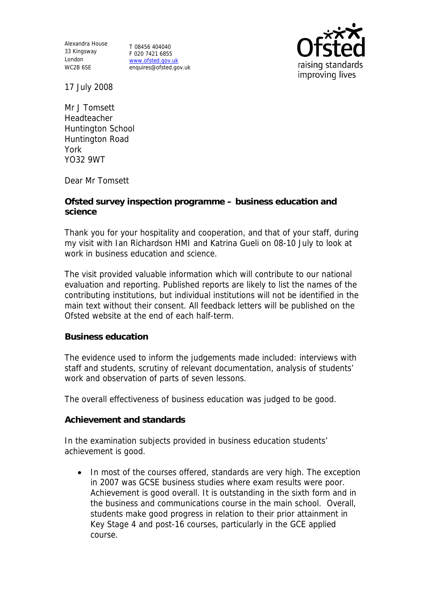Alexandra House 33 Kingsway T 08456 404040 London WC2B 6SE

F 020 7421 6855 www.ofsted.gov.uk enquires@ofsted.gov.uk



17 July 2008

Mr J Tomsett Headteacher Huntington School Huntington Road York YO32 9WT

Dear Mr Tomsett

**Ofsted survey inspection programme – business education and science**

Thank you for your hospitality and cooperation, and that of your staff, during my visit with Ian Richardson HMI and Katrina Gueli on 08-10 July to look at work in business education and science.

The visit provided valuable information which will contribute to our national evaluation and reporting. Published reports are likely to list the names of the contributing institutions, but individual institutions will not be identified in the main text without their consent. All feedback letters will be published on the Ofsted website at the end of each half-term.

## **Business education**

The evidence used to inform the judgements made included: interviews with staff and students, scrutiny of relevant documentation, analysis of students' work and observation of parts of seven lessons.

The overall effectiveness of business education was judged to be good.

**Achievement and standards** 

In the examination subjects provided in business education students' achievement is good.

• In most of the courses offered, standards are very high. The exception in 2007 was GCSE business studies where exam results were poor. Achievement is good overall. It is outstanding in the sixth form and in the business and communications course in the main school. Overall, students make good progress in relation to their prior attainment in Key Stage 4 and post-16 courses, particularly in the GCE applied course.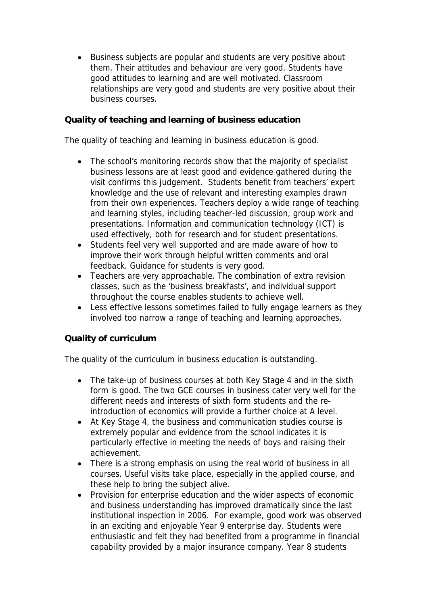Business subjects are popular and students are very positive about them. Their attitudes and behaviour are very good. Students have good attitudes to learning and are well motivated. Classroom relationships are very good and students are very positive about their business courses.

**Quality of teaching and learning of business education**

The quality of teaching and learning in business education is good.

- The school's monitoring records show that the majority of specialist business lessons are at least good and evidence gathered during the visit confirms this judgement. Students benefit from teachers' expert knowledge and the use of relevant and interesting examples drawn from their own experiences. Teachers deploy a wide range of teaching and learning styles, including teacher-led discussion, group work and presentations. Information and communication technology (ICT) is used effectively, both for research and for student presentations.
- Students feel very well supported and are made aware of how to improve their work through helpful written comments and oral feedback. Guidance for students is very good.
- Teachers are very approachable. The combination of extra revision classes, such as the 'business breakfasts', and individual support throughout the course enables students to achieve well.
- Less effective lessons sometimes failed to fully engage learners as they involved too narrow a range of teaching and learning approaches.

## **Quality of curriculum**

The quality of the curriculum in business education is outstanding.

- The take-up of business courses at both Key Stage 4 and in the sixth form is good. The two GCE courses in business cater very well for the different needs and interests of sixth form students and the reintroduction of economics will provide a further choice at A level.
- At Key Stage 4, the business and communication studies course is extremely popular and evidence from the school indicates it is particularly effective in meeting the needs of boys and raising their achievement.
- There is a strong emphasis on using the real world of business in all courses. Useful visits take place, especially in the applied course, and these help to bring the subject alive.
- Provision for enterprise education and the wider aspects of economic and business understanding has improved dramatically since the last institutional inspection in 2006. For example, good work was observed in an exciting and enjoyable Year 9 enterprise day. Students were enthusiastic and felt they had benefited from a programme in financial capability provided by a major insurance company. Year 8 students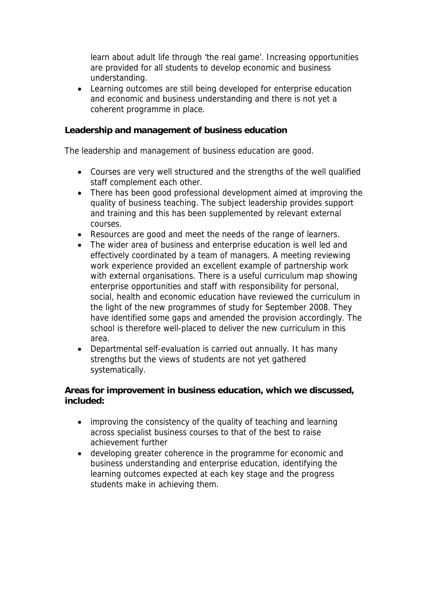learn about adult life through 'the real game'. Increasing opportunities are provided for all students to develop economic and business understanding.

 Learning outcomes are still being developed for enterprise education and economic and business understanding and there is not yet a coherent programme in place.

**Leadership and management of business education**

The leadership and management of business education are good.

- Courses are very well structured and the strengths of the well qualified staff complement each other.
- There has been good professional development aimed at improving the quality of business teaching. The subject leadership provides support and training and this has been supplemented by relevant external courses.
- Resources are good and meet the needs of the range of learners.
- The wider area of business and enterprise education is well led and effectively coordinated by a team of managers. A meeting reviewing work experience provided an excellent example of partnership work with external organisations. There is a useful curriculum map showing enterprise opportunities and staff with responsibility for personal, social, health and economic education have reviewed the curriculum in the light of the new programmes of study for September 2008. They have identified some gaps and amended the provision accordingly. The school is therefore well-placed to deliver the new curriculum in this area.
- Departmental self-evaluation is carried out annually. It has many strengths but the views of students are not yet gathered systematically.

**Areas for improvement in business education, which we discussed, included:**

- improving the consistency of the quality of teaching and learning across specialist business courses to that of the best to raise achievement further
- developing greater coherence in the programme for economic and business understanding and enterprise education, identifying the learning outcomes expected at each key stage and the progress students make in achieving them.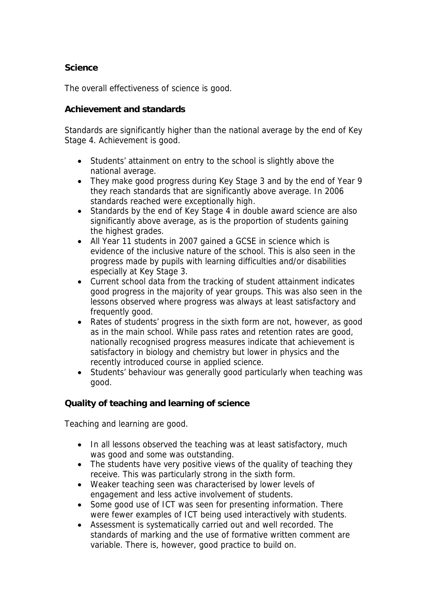**Science**

The overall effectiveness of science is good.

## **Achievement and standards**

Standards are significantly higher than the national average by the end of Key Stage 4. Achievement is good.

- Students' attainment on entry to the school is slightly above the national average.
- They make good progress during Key Stage 3 and by the end of Year 9 they reach standards that are significantly above average. In 2006 standards reached were exceptionally high.
- Standards by the end of Key Stage 4 in double award science are also significantly above average, as is the proportion of students gaining the highest grades.
- All Year 11 students in 2007 gained a GCSE in science which is evidence of the inclusive nature of the school. This is also seen in the progress made by pupils with learning difficulties and/or disabilities especially at Key Stage 3.
- Current school data from the tracking of student attainment indicates good progress in the majority of year groups. This was also seen in the lessons observed where progress was always at least satisfactory and frequently good.
- Rates of students' progress in the sixth form are not, however, as good as in the main school. While pass rates and retention rates are good, nationally recognised progress measures indicate that achievement is satisfactory in biology and chemistry but lower in physics and the recently introduced course in applied science.
- Students' behaviour was generally good particularly when teaching was good.

**Quality of teaching and learning of science**

Teaching and learning are good.

- In all lessons observed the teaching was at least satisfactory, much was good and some was outstanding.
- The students have very positive views of the quality of teaching they receive. This was particularly strong in the sixth form.
- Weaker teaching seen was characterised by lower levels of engagement and less active involvement of students.
- Some good use of ICT was seen for presenting information. There were fewer examples of ICT being used interactively with students.
- Assessment is systematically carried out and well recorded. The standards of marking and the use of formative written comment are variable. There is, however, good practice to build on.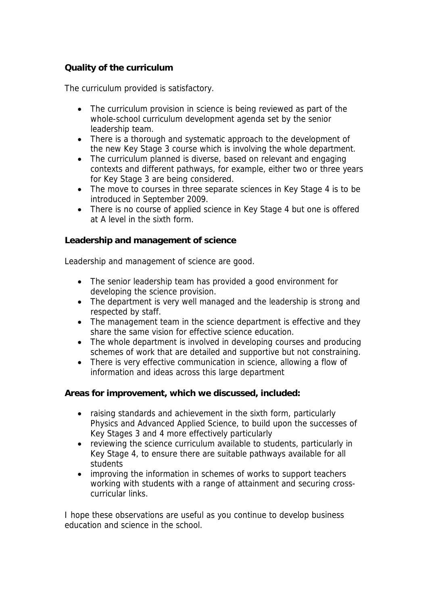## **Quality of the curriculum**

The curriculum provided is satisfactory.

- The curriculum provision in science is being reviewed as part of the whole-school curriculum development agenda set by the senior leadership team.
- There is a thorough and systematic approach to the development of the new Key Stage 3 course which is involving the whole department.
- The curriculum planned is diverse, based on relevant and engaging contexts and different pathways, for example, either two or three years for Key Stage 3 are being considered.
- The move to courses in three separate sciences in Key Stage 4 is to be introduced in September 2009.
- There is no course of applied science in Key Stage 4 but one is offered at A level in the sixth form.

**Leadership and management of science**

Leadership and management of science are good.

- The senior leadership team has provided a good environment for developing the science provision.
- The department is very well managed and the leadership is strong and respected by staff.
- The management team in the science department is effective and they share the same vision for effective science education.
- The whole department is involved in developing courses and producing schemes of work that are detailed and supportive but not constraining.
- There is very effective communication in science, allowing a flow of information and ideas across this large department

**Areas for improvement, which we discussed, included:**

- raising standards and achievement in the sixth form, particularly Physics and Advanced Applied Science, to build upon the successes of Key Stages 3 and 4 more effectively particularly
- reviewing the science curriculum available to students, particularly in Key Stage 4, to ensure there are suitable pathways available for all students
- improving the information in schemes of works to support teachers working with students with a range of attainment and securing crosscurricular links.

I hope these observations are useful as you continue to develop business education and science in the school.